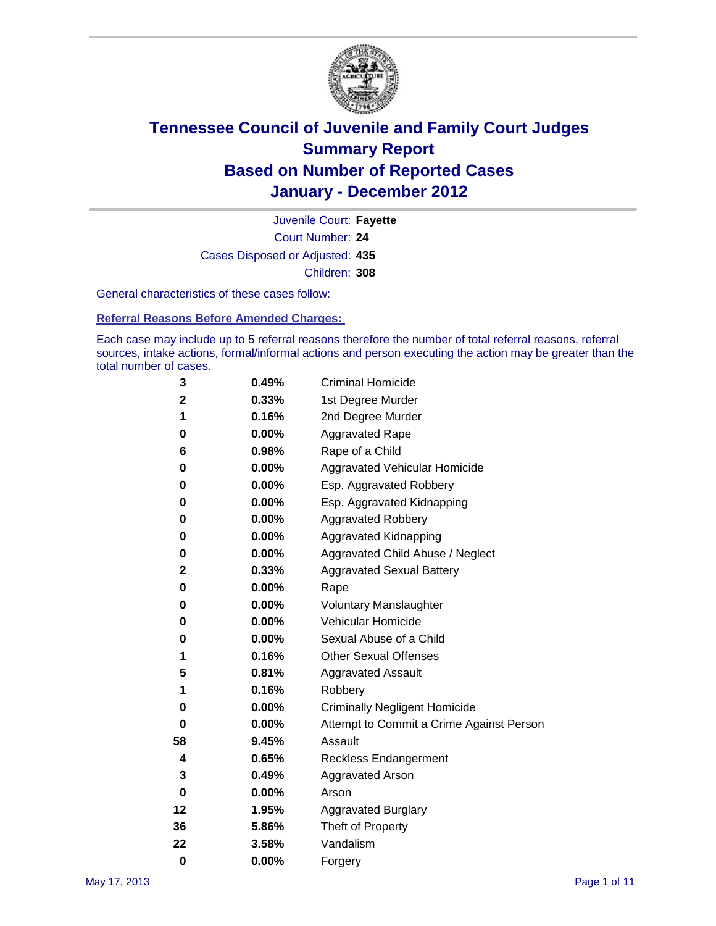

Court Number: **24** Juvenile Court: **Fayette** Cases Disposed or Adjusted: **435** Children: **308**

General characteristics of these cases follow:

**Referral Reasons Before Amended Charges:** 

Each case may include up to 5 referral reasons therefore the number of total referral reasons, referral sources, intake actions, formal/informal actions and person executing the action may be greater than the total number of cases.

| 3  | 0.49%    | <b>Criminal Homicide</b>                 |
|----|----------|------------------------------------------|
| 2  | 0.33%    | 1st Degree Murder                        |
| 1  | 0.16%    | 2nd Degree Murder                        |
| 0  | 0.00%    | <b>Aggravated Rape</b>                   |
| 6  | 0.98%    | Rape of a Child                          |
| 0  | 0.00%    | Aggravated Vehicular Homicide            |
| 0  | 0.00%    | Esp. Aggravated Robbery                  |
| 0  | 0.00%    | Esp. Aggravated Kidnapping               |
| 0  | 0.00%    | <b>Aggravated Robbery</b>                |
| 0  | 0.00%    | Aggravated Kidnapping                    |
| 0  | 0.00%    | Aggravated Child Abuse / Neglect         |
| 2  | 0.33%    | <b>Aggravated Sexual Battery</b>         |
| 0  | 0.00%    | Rape                                     |
| 0  | 0.00%    | <b>Voluntary Manslaughter</b>            |
| 0  | 0.00%    | Vehicular Homicide                       |
| 0  | 0.00%    | Sexual Abuse of a Child                  |
| 1  | 0.16%    | <b>Other Sexual Offenses</b>             |
| 5  | 0.81%    | <b>Aggravated Assault</b>                |
| 1  | 0.16%    | Robbery                                  |
| 0  | 0.00%    | <b>Criminally Negligent Homicide</b>     |
| 0  | 0.00%    | Attempt to Commit a Crime Against Person |
| 58 | 9.45%    | Assault                                  |
| 4  | 0.65%    | <b>Reckless Endangerment</b>             |
| 3  | 0.49%    | <b>Aggravated Arson</b>                  |
| 0  | $0.00\%$ | Arson                                    |
| 12 | 1.95%    | <b>Aggravated Burglary</b>               |
| 36 | 5.86%    | Theft of Property                        |
| 22 | 3.58%    | Vandalism                                |
| 0  | 0.00%    | Forgery                                  |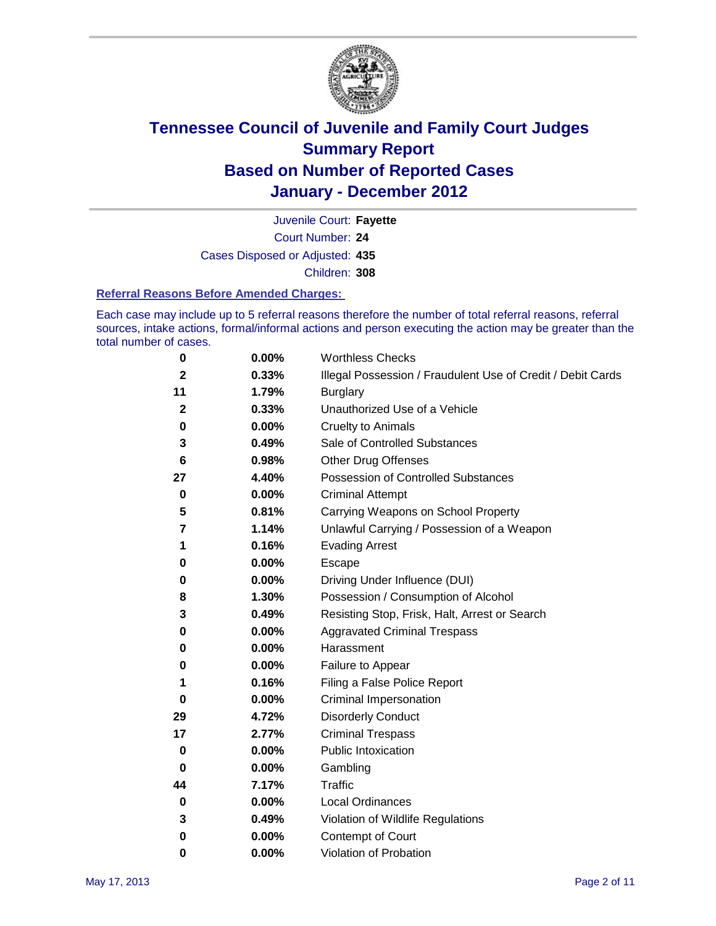

Court Number: **24** Juvenile Court: **Fayette** Cases Disposed or Adjusted: **435** Children: **308**

#### **Referral Reasons Before Amended Charges:**

Each case may include up to 5 referral reasons therefore the number of total referral reasons, referral sources, intake actions, formal/informal actions and person executing the action may be greater than the total number of cases.

| 0            | 0.00% | <b>Worthless Checks</b>                                     |
|--------------|-------|-------------------------------------------------------------|
| 2            | 0.33% | Illegal Possession / Fraudulent Use of Credit / Debit Cards |
| 11           | 1.79% | <b>Burglary</b>                                             |
| $\mathbf{2}$ | 0.33% | Unauthorized Use of a Vehicle                               |
| 0            | 0.00% | <b>Cruelty to Animals</b>                                   |
| 3            | 0.49% | Sale of Controlled Substances                               |
| 6            | 0.98% | <b>Other Drug Offenses</b>                                  |
| 27           | 4.40% | <b>Possession of Controlled Substances</b>                  |
| 0            | 0.00% | <b>Criminal Attempt</b>                                     |
| 5            | 0.81% | Carrying Weapons on School Property                         |
| 7            | 1.14% | Unlawful Carrying / Possession of a Weapon                  |
| 1            | 0.16% | <b>Evading Arrest</b>                                       |
| 0            | 0.00% | Escape                                                      |
| 0            | 0.00% | Driving Under Influence (DUI)                               |
| 8            | 1.30% | Possession / Consumption of Alcohol                         |
| 3            | 0.49% | Resisting Stop, Frisk, Halt, Arrest or Search               |
| 0            | 0.00% | <b>Aggravated Criminal Trespass</b>                         |
| 0            | 0.00% | Harassment                                                  |
| 0            | 0.00% | Failure to Appear                                           |
| 1            | 0.16% | Filing a False Police Report                                |
| 0            | 0.00% | Criminal Impersonation                                      |
| 29           | 4.72% | <b>Disorderly Conduct</b>                                   |
| 17           | 2.77% | <b>Criminal Trespass</b>                                    |
| 0            | 0.00% | <b>Public Intoxication</b>                                  |
| 0            | 0.00% | Gambling                                                    |
| 44           | 7.17% | <b>Traffic</b>                                              |
| 0            | 0.00% | <b>Local Ordinances</b>                                     |
| 3            | 0.49% | Violation of Wildlife Regulations                           |
| 0            | 0.00% | Contempt of Court                                           |
| 0            | 0.00% | Violation of Probation                                      |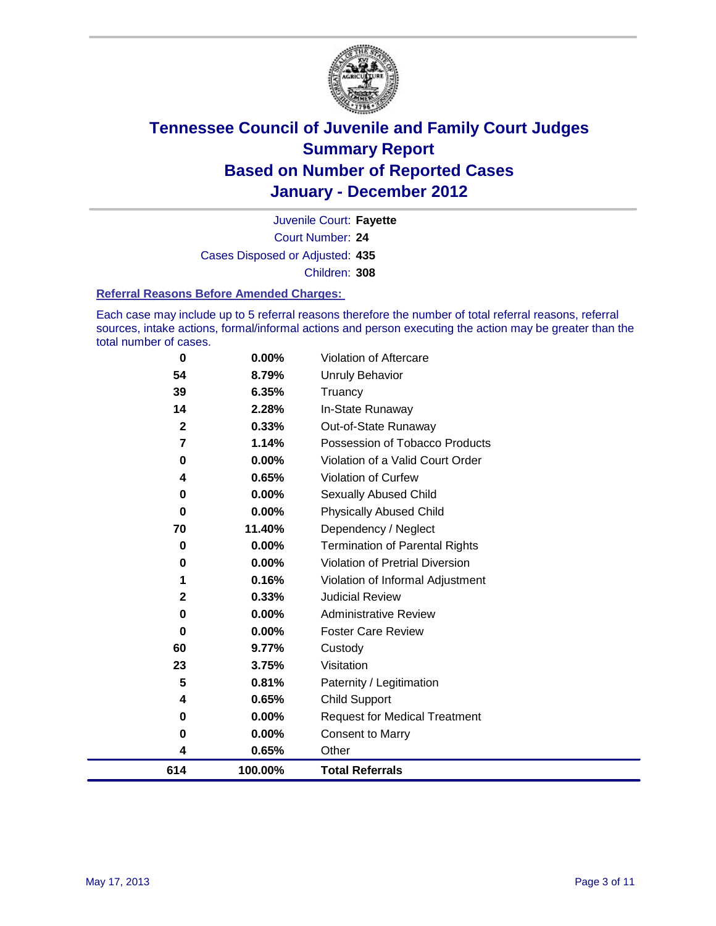

Court Number: **24** Juvenile Court: **Fayette** Cases Disposed or Adjusted: **435** Children: **308**

#### **Referral Reasons Before Amended Charges:**

Each case may include up to 5 referral reasons therefore the number of total referral reasons, referral sources, intake actions, formal/informal actions and person executing the action may be greater than the total number of cases.

| 0            | 0.00%    | Violation of Aftercare                 |
|--------------|----------|----------------------------------------|
| 54           | 8.79%    | Unruly Behavior                        |
| 39           | 6.35%    | Truancy                                |
| 14           | 2.28%    | In-State Runaway                       |
| $\mathbf{2}$ | 0.33%    | Out-of-State Runaway                   |
| 7            | 1.14%    | Possession of Tobacco Products         |
| 0            | 0.00%    | Violation of a Valid Court Order       |
| 4            | 0.65%    | Violation of Curfew                    |
| 0            | $0.00\%$ | Sexually Abused Child                  |
| $\bf{0}$     | 0.00%    | <b>Physically Abused Child</b>         |
| 70           | 11.40%   | Dependency / Neglect                   |
| 0            | 0.00%    | <b>Termination of Parental Rights</b>  |
| 0            | $0.00\%$ | <b>Violation of Pretrial Diversion</b> |
| 1            | 0.16%    | Violation of Informal Adjustment       |
| 2            | 0.33%    | <b>Judicial Review</b>                 |
| 0            | $0.00\%$ | <b>Administrative Review</b>           |
| $\bf{0}$     | $0.00\%$ | <b>Foster Care Review</b>              |
| 60           | 9.77%    | Custody                                |
| 23           | 3.75%    | Visitation                             |
| 5            | 0.81%    | Paternity / Legitimation               |
| 4            | 0.65%    | <b>Child Support</b>                   |
| 0            | 0.00%    | <b>Request for Medical Treatment</b>   |
| 0            | 0.00%    | <b>Consent to Marry</b>                |
| 4            | 0.65%    | Other                                  |
| 614          | 100.00%  | <b>Total Referrals</b>                 |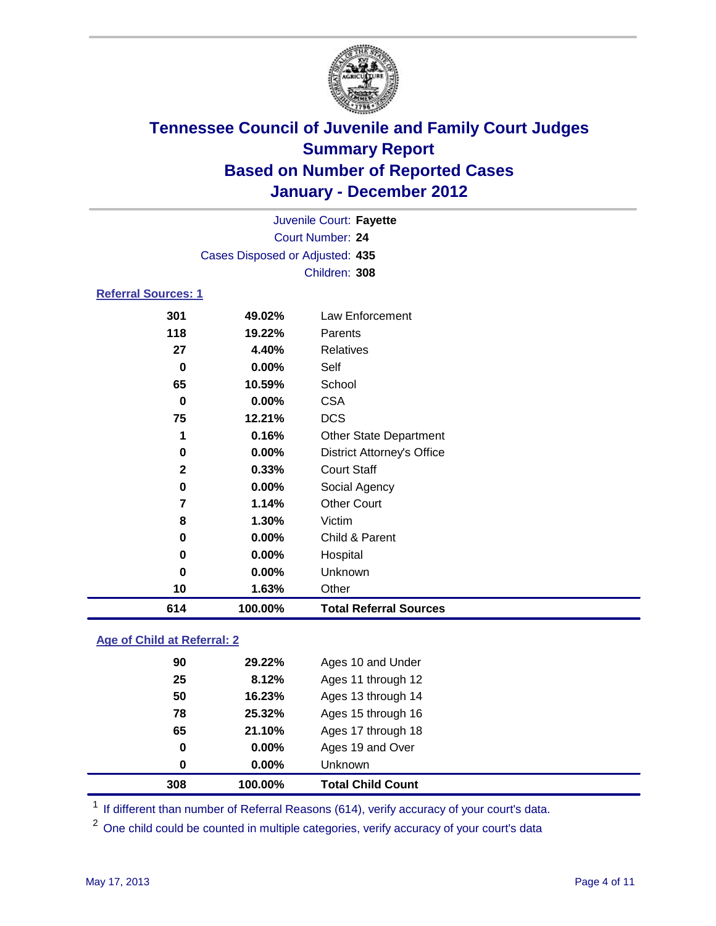

|                            |                                 | Juvenile Court: Fayette           |  |  |  |
|----------------------------|---------------------------------|-----------------------------------|--|--|--|
|                            | Court Number: 24                |                                   |  |  |  |
|                            | Cases Disposed or Adjusted: 435 |                                   |  |  |  |
|                            |                                 | Children: 308                     |  |  |  |
| <b>Referral Sources: 1</b> |                                 |                                   |  |  |  |
| 301                        | 49.02%                          | Law Enforcement                   |  |  |  |
| 118                        | 19.22%                          | Parents                           |  |  |  |
| 27                         | 4.40%                           | Relatives                         |  |  |  |
| 0                          | 0.00%                           | Self                              |  |  |  |
| 65                         | 10.59%                          | School                            |  |  |  |
| 0                          | 0.00%                           | <b>CSA</b>                        |  |  |  |
| 75                         | 12.21%                          | <b>DCS</b>                        |  |  |  |
| 1                          | 0.16%                           | <b>Other State Department</b>     |  |  |  |
| 0                          | 0.00%                           | <b>District Attorney's Office</b> |  |  |  |
| $\mathbf{2}$               | 0.33%                           | <b>Court Staff</b>                |  |  |  |
| 0                          | $0.00\%$                        | Social Agency                     |  |  |  |
| 7                          | 1.14%                           | <b>Other Court</b>                |  |  |  |
| 8                          | 1.30%                           | Victim                            |  |  |  |
| 0                          | 0.00%                           | Child & Parent                    |  |  |  |
| 0                          | 0.00%                           | Hospital                          |  |  |  |
| 0                          | 0.00%                           | Unknown                           |  |  |  |

### **Age of Child at Referral: 2**

| 308 | 100.00%  | <b>Total Child Count</b> |
|-----|----------|--------------------------|
| 0   | $0.00\%$ | Unknown                  |
| 0   | 0.00%    | Ages 19 and Over         |
| 65  | 21.10%   | Ages 17 through 18       |
| 78  | 25.32%   | Ages 15 through 16       |
| 50  | 16.23%   | Ages 13 through 14       |
| 25  | 8.12%    | Ages 11 through 12       |
| 90  | 29.22%   | Ages 10 and Under        |
|     |          |                          |

<sup>1</sup> If different than number of Referral Reasons (614), verify accuracy of your court's data.

**1.63%** Other

**100.00% Total Referral Sources**

<sup>2</sup> One child could be counted in multiple categories, verify accuracy of your court's data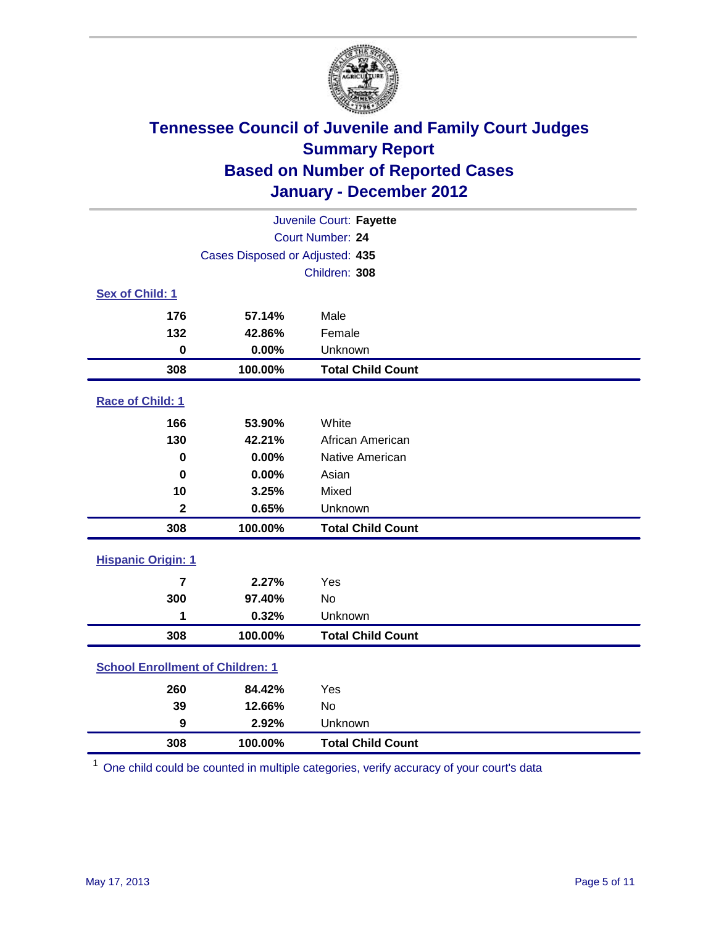![](_page_4_Picture_0.jpeg)

| Juvenile Court: Fayette                 |                                 |                          |  |  |
|-----------------------------------------|---------------------------------|--------------------------|--|--|
|                                         | Court Number: 24                |                          |  |  |
|                                         | Cases Disposed or Adjusted: 435 |                          |  |  |
|                                         |                                 | Children: 308            |  |  |
| Sex of Child: 1                         |                                 |                          |  |  |
| 176                                     | 57.14%                          | Male                     |  |  |
| 132                                     | 42.86%                          | Female                   |  |  |
| $\mathbf 0$                             | 0.00%                           | Unknown                  |  |  |
| 308                                     | 100.00%                         | <b>Total Child Count</b> |  |  |
| Race of Child: 1                        |                                 |                          |  |  |
| 166                                     | 53.90%                          | White                    |  |  |
| 130                                     | 42.21%                          | African American         |  |  |
| $\mathbf 0$                             | 0.00%                           | Native American          |  |  |
| $\bf{0}$                                | 0.00%                           | Asian                    |  |  |
| 10                                      | 3.25%                           | Mixed                    |  |  |
| $\mathbf{2}$                            | 0.65%                           | Unknown                  |  |  |
| 308                                     | 100.00%                         | <b>Total Child Count</b> |  |  |
| <b>Hispanic Origin: 1</b>               |                                 |                          |  |  |
| $\overline{\mathbf{r}}$                 | 2.27%                           | Yes                      |  |  |
| 300                                     | 97.40%                          | No                       |  |  |
| 1                                       | 0.32%                           | Unknown                  |  |  |
| 308                                     | 100.00%                         | <b>Total Child Count</b> |  |  |
| <b>School Enrollment of Children: 1</b> |                                 |                          |  |  |
| 260                                     | 84.42%                          | Yes                      |  |  |
| 39                                      | 12.66%                          | <b>No</b>                |  |  |
| 9                                       | 2.92%                           | Unknown                  |  |  |
| 308                                     | 100.00%                         | <b>Total Child Count</b> |  |  |

One child could be counted in multiple categories, verify accuracy of your court's data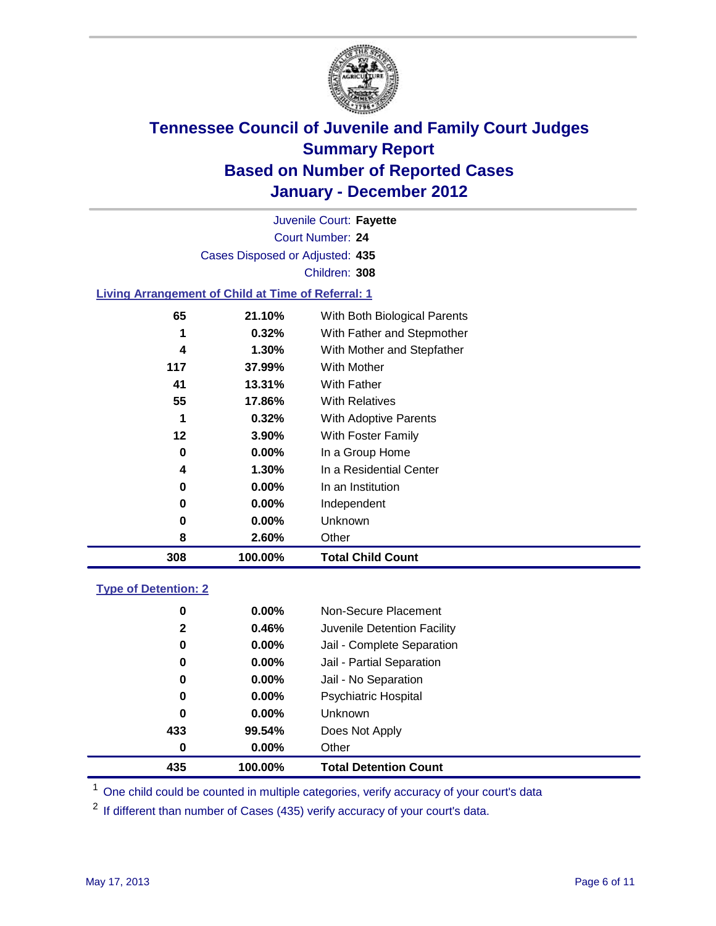![](_page_5_Picture_0.jpeg)

Court Number: **24** Juvenile Court: **Fayette** Cases Disposed or Adjusted: **435** Children: **308**

#### **Living Arrangement of Child at Time of Referral: 1**

| 308 | 100.00%  | <b>Total Child Count</b>     |
|-----|----------|------------------------------|
| 8   | 2.60%    | Other                        |
| 0   | $0.00\%$ | Unknown                      |
| 0   | $0.00\%$ | Independent                  |
| 0   | $0.00\%$ | In an Institution            |
| 4   | $1.30\%$ | In a Residential Center      |
| 0   | 0.00%    | In a Group Home              |
| 12  | 3.90%    | With Foster Family           |
| 1   | 0.32%    | With Adoptive Parents        |
| 55  | 17.86%   | <b>With Relatives</b>        |
| 41  | 13.31%   | <b>With Father</b>           |
| 117 | 37.99%   | With Mother                  |
| 4   | $1.30\%$ | With Mother and Stepfather   |
| 1   | 0.32%    | With Father and Stepmother   |
| 65  | 21.10%   | With Both Biological Parents |
|     |          |                              |

#### **Type of Detention: 2**

| 435          | 100.00%  | <b>Total Detention Count</b> |  |
|--------------|----------|------------------------------|--|
| $\bf{0}$     | 0.00%    | Other                        |  |
| 433          | 99.54%   | Does Not Apply               |  |
| 0            | $0.00\%$ | Unknown                      |  |
| 0            | $0.00\%$ | Psychiatric Hospital         |  |
| 0            | 0.00%    | Jail - No Separation         |  |
| 0            | $0.00\%$ | Jail - Partial Separation    |  |
| 0            | $0.00\%$ | Jail - Complete Separation   |  |
| $\mathbf{2}$ | 0.46%    | Juvenile Detention Facility  |  |
| 0            | $0.00\%$ | Non-Secure Placement         |  |
|              |          |                              |  |

<sup>1</sup> One child could be counted in multiple categories, verify accuracy of your court's data

<sup>2</sup> If different than number of Cases (435) verify accuracy of your court's data.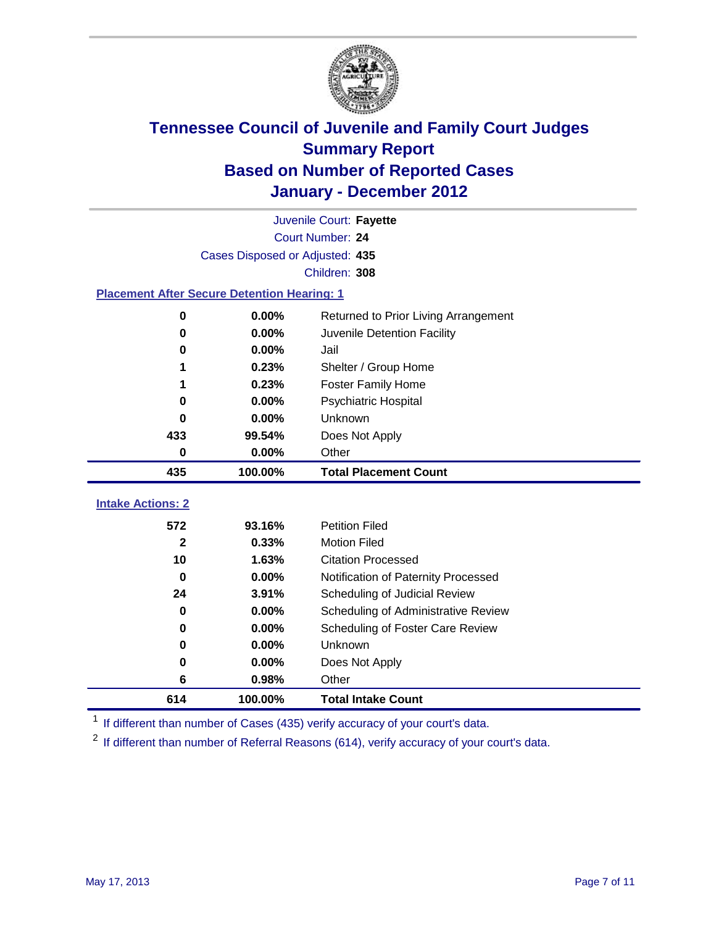![](_page_6_Picture_0.jpeg)

|                                                    | Juvenile Court: Fayette         |                                      |  |  |  |
|----------------------------------------------------|---------------------------------|--------------------------------------|--|--|--|
|                                                    | Court Number: 24                |                                      |  |  |  |
|                                                    | Cases Disposed or Adjusted: 435 |                                      |  |  |  |
|                                                    | Children: 308                   |                                      |  |  |  |
| <b>Placement After Secure Detention Hearing: 1</b> |                                 |                                      |  |  |  |
| $\bf{0}$                                           | 0.00%                           | Returned to Prior Living Arrangement |  |  |  |
| $\bf{0}$                                           | 0.00%                           | Juvenile Detention Facility          |  |  |  |
| 0                                                  | 0.00%                           | Jail                                 |  |  |  |
|                                                    | 0.23%                           | Shelter / Group Home                 |  |  |  |
| 1                                                  | 0.23%                           | <b>Foster Family Home</b>            |  |  |  |
| $\bf{0}$                                           | 0.00%                           | <b>Psychiatric Hospital</b>          |  |  |  |
| 0                                                  | 0.00%                           | Unknown                              |  |  |  |
| 433                                                | 99.54%                          | Does Not Apply                       |  |  |  |
| $\mathbf 0$                                        | 0.00%                           | Other                                |  |  |  |
| 435                                                | 100.00%                         | <b>Total Placement Count</b>         |  |  |  |
|                                                    |                                 |                                      |  |  |  |
| <b>Intake Actions: 2</b>                           |                                 |                                      |  |  |  |
| 572                                                | 93.16%                          | <b>Petition Filed</b>                |  |  |  |
| 2                                                  | 0.33%                           | <b>Motion Filed</b>                  |  |  |  |
| 10                                                 | 1.63%                           | <b>Citation Processed</b>            |  |  |  |
| 0                                                  | 0.00%                           | Notification of Paternity Processed  |  |  |  |
| 24                                                 | 3.91%                           | Scheduling of Judicial Review        |  |  |  |
| 0                                                  | 0.00%                           | Scheduling of Administrative Review  |  |  |  |
| 0                                                  | 0.00%                           | Scheduling of Foster Care Review     |  |  |  |
| 0                                                  | 0.00%                           | Unknown                              |  |  |  |
| $\bf{0}$                                           | 0.00%                           | Does Not Apply                       |  |  |  |
| 6                                                  | 0.98%                           | Other                                |  |  |  |
| 614                                                | 100.00%                         | <b>Total Intake Count</b>            |  |  |  |

<sup>1</sup> If different than number of Cases (435) verify accuracy of your court's data.

<sup>2</sup> If different than number of Referral Reasons (614), verify accuracy of your court's data.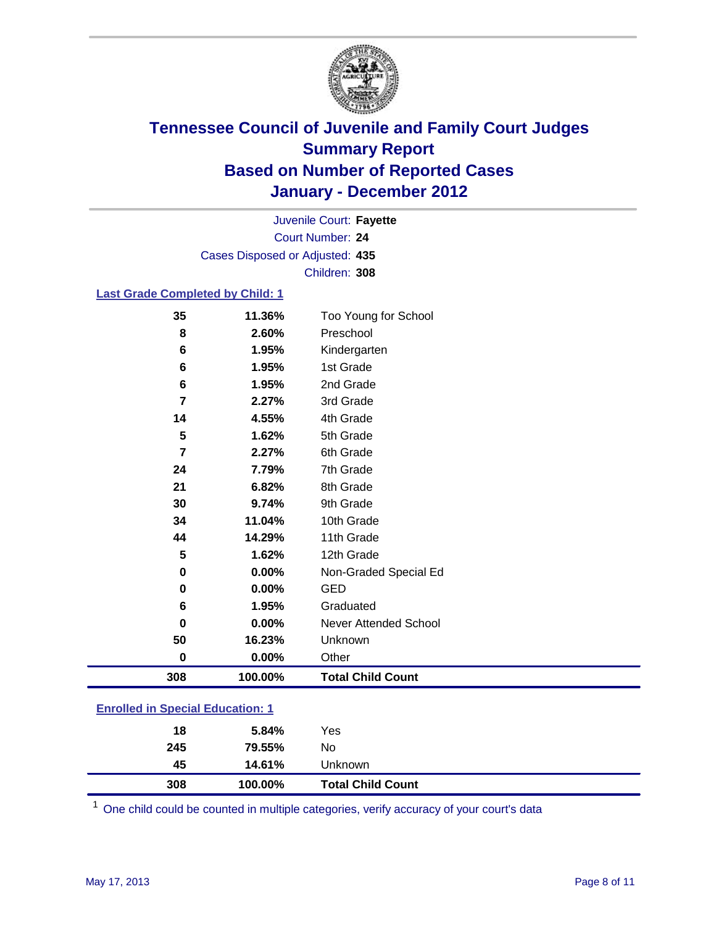![](_page_7_Picture_0.jpeg)

Court Number: **24** Juvenile Court: **Fayette** Cases Disposed or Adjusted: **435** Children: **308**

### **Last Grade Completed by Child: 1**

| 35                                      | 11.36%  | Too Young for School         |  |
|-----------------------------------------|---------|------------------------------|--|
| 8                                       | 2.60%   | Preschool                    |  |
| 6                                       | 1.95%   | Kindergarten                 |  |
| 6                                       | 1.95%   | 1st Grade                    |  |
| 6                                       | 1.95%   | 2nd Grade                    |  |
| $\overline{7}$                          | 2.27%   | 3rd Grade                    |  |
| 14                                      | 4.55%   | 4th Grade                    |  |
| 5                                       | 1.62%   | 5th Grade                    |  |
| $\overline{7}$                          | 2.27%   | 6th Grade                    |  |
| 24                                      | 7.79%   | 7th Grade                    |  |
| 21                                      | 6.82%   | 8th Grade                    |  |
| 30                                      | 9.74%   | 9th Grade                    |  |
| 34                                      | 11.04%  | 10th Grade                   |  |
| 44                                      | 14.29%  | 11th Grade                   |  |
| 5                                       | 1.62%   | 12th Grade                   |  |
| 0                                       | 0.00%   | Non-Graded Special Ed        |  |
| $\pmb{0}$                               | 0.00%   | <b>GED</b>                   |  |
| 6                                       | 1.95%   | Graduated                    |  |
| $\bf{0}$                                | 0.00%   | <b>Never Attended School</b> |  |
| 50                                      | 16.23%  | Unknown                      |  |
| $\mathbf 0$                             | 0.00%   | Other                        |  |
| 308                                     | 100.00% | <b>Total Child Count</b>     |  |
| <b>Enrolled in Special Education: 1</b> |         |                              |  |

| 308                                       | 100.00% | <b>Total Child Count</b> |  |
|-------------------------------------------|---------|--------------------------|--|
| 45                                        | 14.61%  | Unknown                  |  |
| 245                                       | 79.55%  | No                       |  |
| 18                                        | 5.84%   | Yes                      |  |
| <u>Einvilled in Opcolar Eugeneinen. I</u> |         |                          |  |

One child could be counted in multiple categories, verify accuracy of your court's data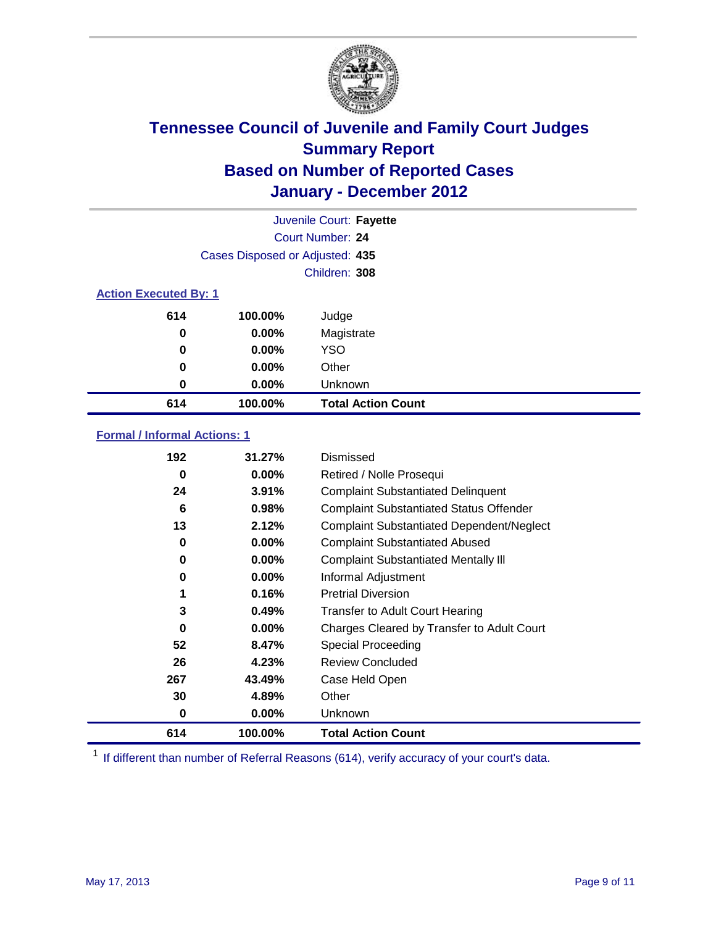![](_page_8_Picture_0.jpeg)

|     |                                 | Juvenile Court: Fayette   |  |  |  |
|-----|---------------------------------|---------------------------|--|--|--|
|     |                                 | <b>Court Number: 24</b>   |  |  |  |
|     | Cases Disposed or Adjusted: 435 |                           |  |  |  |
|     |                                 | Children: 308             |  |  |  |
|     | <b>Action Executed By: 1</b>    |                           |  |  |  |
| 614 | 100.00%                         | Judge                     |  |  |  |
| 0   | $0.00\%$                        | Magistrate                |  |  |  |
| 0   | $0.00\%$                        | <b>YSO</b>                |  |  |  |
| 0   | $0.00\%$                        | Other                     |  |  |  |
| 0   | 0.00%                           | Unknown                   |  |  |  |
| 614 | 100.00%                         | <b>Total Action Count</b> |  |  |  |

### **Formal / Informal Actions: 1**

| 192 | 31.27%   | Dismissed                                        |
|-----|----------|--------------------------------------------------|
| 0   | $0.00\%$ | Retired / Nolle Prosequi                         |
| 24  | 3.91%    | <b>Complaint Substantiated Delinquent</b>        |
| 6   | 0.98%    | <b>Complaint Substantiated Status Offender</b>   |
| 13  | 2.12%    | <b>Complaint Substantiated Dependent/Neglect</b> |
| 0   | 0.00%    | <b>Complaint Substantiated Abused</b>            |
| 0   | $0.00\%$ | <b>Complaint Substantiated Mentally III</b>      |
| 0   | $0.00\%$ | Informal Adjustment                              |
| 1   | 0.16%    | <b>Pretrial Diversion</b>                        |
| 3   | 0.49%    | <b>Transfer to Adult Court Hearing</b>           |
| 0   | $0.00\%$ | Charges Cleared by Transfer to Adult Court       |
| 52  | 8.47%    | Special Proceeding                               |
| 26  | 4.23%    | <b>Review Concluded</b>                          |
| 267 | 43.49%   | Case Held Open                                   |
| 30  | 4.89%    | Other                                            |
| 0   | $0.00\%$ | <b>Unknown</b>                                   |
| 614 | 100.00%  | <b>Total Action Count</b>                        |

<sup>1</sup> If different than number of Referral Reasons (614), verify accuracy of your court's data.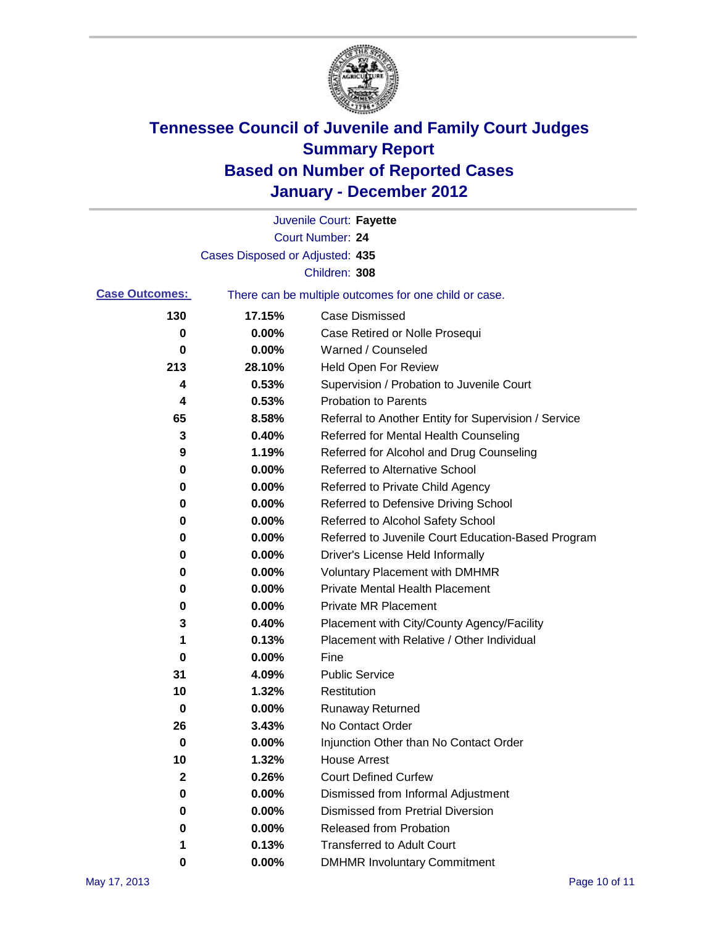![](_page_9_Picture_0.jpeg)

|                       |                                 | Juvenile Court: Fayette                               |
|-----------------------|---------------------------------|-------------------------------------------------------|
|                       |                                 | <b>Court Number: 24</b>                               |
|                       | Cases Disposed or Adjusted: 435 |                                                       |
|                       |                                 | Children: 308                                         |
| <b>Case Outcomes:</b> |                                 | There can be multiple outcomes for one child or case. |
| 130                   | 17.15%                          | <b>Case Dismissed</b>                                 |
| 0                     | 0.00%                           | Case Retired or Nolle Prosequi                        |
| 0                     | 0.00%                           | Warned / Counseled                                    |
| 213                   | 28.10%                          | Held Open For Review                                  |
| 4                     | 0.53%                           | Supervision / Probation to Juvenile Court             |
| 4                     | 0.53%                           | <b>Probation to Parents</b>                           |
| 65                    | 8.58%                           | Referral to Another Entity for Supervision / Service  |
| 3                     | 0.40%                           | Referred for Mental Health Counseling                 |
| 9                     | 1.19%                           | Referred for Alcohol and Drug Counseling              |
| 0                     | 0.00%                           | <b>Referred to Alternative School</b>                 |
| 0                     | 0.00%                           | Referred to Private Child Agency                      |
| 0                     | 0.00%                           | Referred to Defensive Driving School                  |
| 0                     | 0.00%                           | Referred to Alcohol Safety School                     |
| 0                     | 0.00%                           | Referred to Juvenile Court Education-Based Program    |
| 0                     | 0.00%                           | Driver's License Held Informally                      |
| 0                     | 0.00%                           | <b>Voluntary Placement with DMHMR</b>                 |
| 0                     | 0.00%                           | <b>Private Mental Health Placement</b>                |
| 0                     | 0.00%                           | <b>Private MR Placement</b>                           |
| 3                     | 0.40%                           | Placement with City/County Agency/Facility            |
| 1                     | 0.13%                           | Placement with Relative / Other Individual            |
| 0                     | 0.00%                           | Fine                                                  |
| 31                    | 4.09%                           | <b>Public Service</b>                                 |
| 10                    | 1.32%                           | Restitution                                           |
| 0                     | 0.00%                           | <b>Runaway Returned</b>                               |
| 26                    | 3.43%                           | No Contact Order                                      |
| $\pmb{0}$             | 0.00%                           | Injunction Other than No Contact Order                |
| 10                    | 1.32%                           | <b>House Arrest</b>                                   |
| $\mathbf{2}$          | 0.26%                           | <b>Court Defined Curfew</b>                           |
| 0                     | $0.00\%$                        | Dismissed from Informal Adjustment                    |
| 0                     | $0.00\%$                        | <b>Dismissed from Pretrial Diversion</b>              |
| 0                     | 0.00%                           | Released from Probation                               |
| 1                     | 0.13%                           | <b>Transferred to Adult Court</b>                     |
| 0                     | 0.00%                           | <b>DMHMR Involuntary Commitment</b>                   |